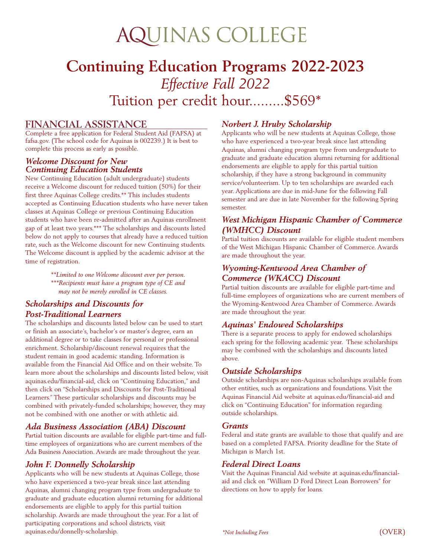# **AQUINAS COLLEGE**

# **Continuing Education Programs 2022-2023** *Effective Fall 2022* Tuition per credit hour.........\$569\*

### **FINANCIAL ASSISTANCE**

Complete a free application for Federal Student Aid (FAFSA) at fafsa.gov. (The school code for Aquinas is 002239.) It is best to complete this process as early as possible.

#### *Welcome Discount for New Continuing Education Students*

New Continuing Education (adult undergraduate) students receive a Welcome discount for reduced tuition (50%) for their first three Aquinas College credits.\*\* This includes students accepted as Continuing Education students who have never taken classes at Aquinas College or previous Continuing Education students who have been re-admitted after an Aquinas enrollment gap of at least two years.\*\*\* The scholarships and discounts listed below do not apply to courses that already have a reduced tuition rate, such as the Welcome discount for new Continuing students. The Welcome discount is applied by the academic advisor at the time of registration.

> *\*\*Limited to one Welcome discount ever per person. \*\*\*Recipients must have a program type of CE and may not be merely enrolled in CE classes.*

#### *Scholarships and Discounts for Post-Traditional Learners*

The scholarships and discounts listed below can be used to start or finish an associate's, bachelor's or master's degree, earn an additional degree or to take classes for personal or professional enrichment. Scholarship/discount renewal requires that the student remain in good academic standing. Information is available from the Financial Aid Office and on their website. To learn more about the scholarships and discounts listed below, visit aquinas.edu/financial-aid, click on "Continuing Education," and then click on "Scholarships and Discounts for Post-Traditional Learners." These particular scholarships and discounts may be combined with privately-funded scholarships; however, they may not be combined with one another or with athletic aid.

#### *Ada Business Association (ABA) Discount*

Partial tuition discounts are available for eligible part-time and fulltime employees of organizations who are current members of the Ada Business Association. Awards are made throughout the year.

#### *John F. Donnelly Scholarship*

Applicants who will be new students at Aquinas College, those who have experienced a two-year break since last attending Aquinas, alumni changing program type from undergraduate to graduate and graduate education alumni returning for additional endorsements are eligible to apply for this partial tuition scholarship. Awards are made throughout the year. For a list of participating corporations and school districts, visit aquinas.edu/donnelly-scholarship.

#### *Norbert J. Hruby Scholarship*

Applicants who will be new students at Aquinas College, those who have experienced a two-year break since last attending Aquinas, alumni changing program type from undergraduate to graduate and graduate education alumni returning for additional endorsements are eligible to apply for this partial tuition scholarship, if they have a strong background in community service/volunteerism. Up to ten scholarships are awarded each year. Applications are due in mid-June for the following Fall semester and are due in late November for the following Spring semester.

#### *West Michigan Hispanic Chamber of Commerce (WMHCC) Discount*

Partial tuition discounts are available for eligible student members of the West Michigan Hispanic Chamber of Commerce. Awards are made throughout the year.

#### *Wyoming-Kentwood Area Chamber of Commerce (WKACC) Discount*

Partial tuition discounts are available for eligible part-time and full-time employees of organizations who are current members of the Wyoming-Kentwood Area Chamber of Commerce. Awards are made throughout the year.

#### *Aquinas' Endowed Scholarships*

There is a separate process to apply for endowed scholarships each spring for the following academic year. These scholarships may be combined with the scholarships and discounts listed above.

#### *Outside Scholarships*

Outside scholarships are non-Aquinas scholarships available from other entities, such as organizations and foundations. Visit the Aquinas Financial Aid website at aquinas.edu/financial-aid and click on "Continuing Education" for information regarding outside scholarships.

#### *Grants*

Federal and state grants are available to those that qualify and are based on a completed FAFSA. Priority deadline for the State of Michigan is March 1st.

#### *Federal Direct Loans*

Visit the Aquinas Financial Aid website at aquinas.edu/financialaid and click on "William D Ford Direct Loan Borrowers" for directions on how to apply for loans.